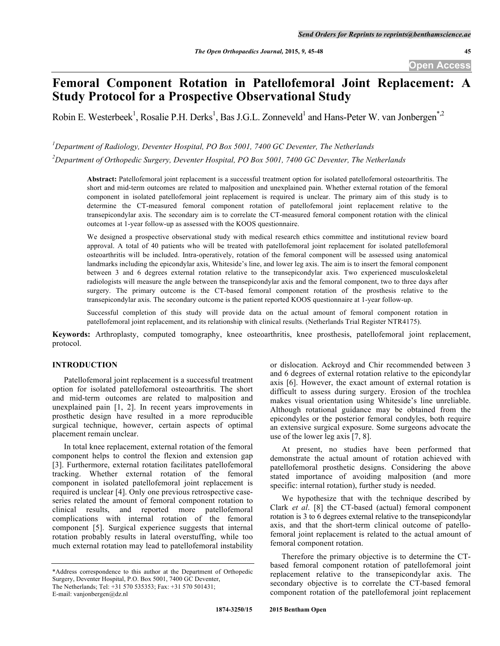# **Femoral Component Rotation in Patellofemoral Joint Replacement: A Study Protocol for a Prospective Observational Study**

Robin E. Westerbeek<sup>1</sup>, Rosalie P.H. Derks<sup>1</sup>, Bas J.G.L. Zonneveld<sup>1</sup> and Hans-Peter W. van Jonbergen<sup>\*,2</sup>

*1 Department of Radiology, Deventer Hospital, PO Box 5001, 7400 GC Deventer, The Netherlands*

*2 Department of Orthopedic Surgery, Deventer Hospital, PO Box 5001, 7400 GC Deventer, The Netherlands*

**Abstract:** Patellofemoral joint replacement is a successful treatment option for isolated patellofemoral osteoarthritis. The short and mid-term outcomes are related to malposition and unexplained pain. Whether external rotation of the femoral component in isolated patellofemoral joint replacement is required is unclear. The primary aim of this study is to determine the CT-measured femoral component rotation of patellofemoral joint replacement relative to the transepicondylar axis. The secondary aim is to correlate the CT-measured femoral component rotation with the clinical outcomes at 1-year follow-up as assessed with the KOOS questionnaire.

We designed a prospective observational study with medical research ethics committee and institutional review board approval. A total of 40 patients who will be treated with patellofemoral joint replacement for isolated patellofemoral osteoarthritis will be included. Intra-operatively, rotation of the femoral component will be assessed using anatomical landmarks including the epicondylar axis, Whiteside's line, and lower leg axis. The aim is to insert the femoral component between 3 and 6 degrees external rotation relative to the transepicondylar axis. Two experienced musculoskeletal radiologists will measure the angle between the transepicondylar axis and the femoral component, two to three days after surgery. The primary outcome is the CT-based femoral component rotation of the prosthesis relative to the transepicondylar axis. The secondary outcome is the patient reported KOOS questionnaire at 1-year follow-up.

Successful completion of this study will provide data on the actual amount of femoral component rotation in patellofemoral joint replacement, and its relationship with clinical results. (Netherlands Trial Register NTR4175).

**Keywords:** Arthroplasty, computed tomography, knee osteoarthritis, knee prosthesis, patellofemoral joint replacement, protocol.

# **INTRODUCTION**

Patellofemoral joint replacement is a successful treatment option for isolated patellofemoral osteoarthritis. The short and mid-term outcomes are related to malposition and unexplained pain [1, 2]. In recent years improvements in prosthetic design have resulted in a more reproducible surgical technique, however, certain aspects of optimal placement remain unclear.

In total knee replacement, external rotation of the femoral component helps to control the flexion and extension gap [3]. Furthermore, external rotation facilitates patellofemoral tracking. Whether external rotation of the femoral component in isolated patellofemoral joint replacement is required is unclear [4]. Only one previous retrospective caseseries related the amount of femoral component rotation to clinical results, and reported more patellofemoral complications with internal rotation of the femoral component [5]. Surgical experience suggests that internal rotation probably results in lateral overstuffing, while too much external rotation may lead to patellofemoral instability

or dislocation. Ackroyd and Chir recommended between 3 and 6 degrees of external rotation relative to the epicondylar axis [6]. However, the exact amount of external rotation is difficult to assess during surgery. Erosion of the trochlea makes visual orientation using Whiteside's line unreliable. Although rotational guidance may be obtained from the epicondyles or the posterior femoral condyles, both require an extensive surgical exposure. Some surgeons advocate the use of the lower leg axis [7, 8].

At present, no studies have been performed that demonstrate the actual amount of rotation achieved with patellofemoral prosthetic designs. Considering the above stated importance of avoiding malposition (and more specific: internal rotation), further study is needed.

We hypothesize that with the technique described by Clark *et al*. [8] the CT-based (actual) femoral component rotation is 3 to 6 degrees external relative to the transepicondylar axis, and that the short-term clinical outcome of patellofemoral joint replacement is related to the actual amount of femoral component rotation.

Therefore the primary objective is to determine the CTbased femoral component rotation of patellofemoral joint replacement relative to the transepicondylar axis. The secondary objective is to correlate the CT-based femoral component rotation of the patellofemoral joint replacement

<sup>\*</sup>Address correspondence to this author at the Department of Orthopedic Surgery, Deventer Hospital, P.O. Box 5001, 7400 GC Deventer, The Netherlands; Tel: +31 570 535353; Fax: +31 570 501431; E-mail: vanjonbergen@dz.nl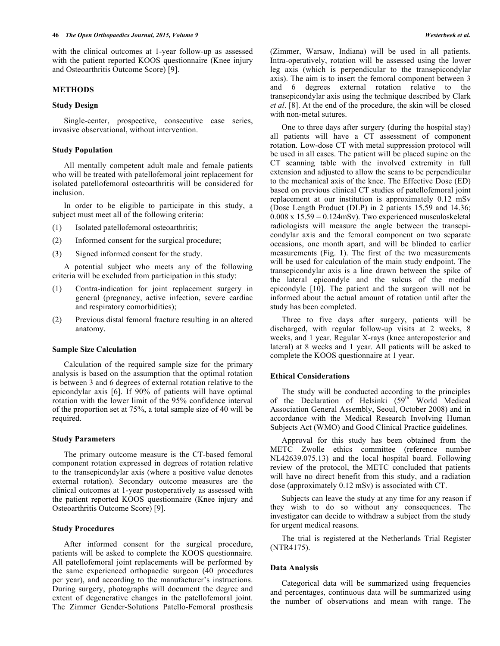with the clinical outcomes at 1-year follow-up as assessed with the patient reported KOOS questionnaire (Knee injury and Osteoarthritis Outcome Score) [9].

## **METHODS**

#### **Study Design**

Single-center, prospective, consecutive case series, invasive observational, without intervention.

#### **Study Population**

All mentally competent adult male and female patients who will be treated with patellofemoral joint replacement for isolated patellofemoral osteoarthritis will be considered for inclusion.

In order to be eligible to participate in this study, a subject must meet all of the following criteria:

- (1) Isolated patellofemoral osteoarthritis;
- (2) Informed consent for the surgical procedure;
- (3) Signed informed consent for the study.

A potential subject who meets any of the following criteria will be excluded from participation in this study:

- (1) Contra-indication for joint replacement surgery in general (pregnancy, active infection, severe cardiac and respiratory comorbidities);
- (2) Previous distal femoral fracture resulting in an altered anatomy.

## **Sample Size Calculation**

Calculation of the required sample size for the primary analysis is based on the assumption that the optimal rotation is between 3 and 6 degrees of external rotation relative to the epicondylar axis [6]. If 90% of patients will have optimal rotation with the lower limit of the 95% confidence interval of the proportion set at 75%, a total sample size of 40 will be required.

## **Study Parameters**

The primary outcome measure is the CT-based femoral component rotation expressed in degrees of rotation relative to the transepicondylar axis (where a positive value denotes external rotation). Secondary outcome measures are the clinical outcomes at 1-year postoperatively as assessed with the patient reported KOOS questionnaire (Knee injury and Osteoarthritis Outcome Score) [9].

## **Study Procedures**

After informed consent for the surgical procedure, patients will be asked to complete the KOOS questionnaire. All patellofemoral joint replacements will be performed by the same experienced orthopaedic surgeon (40 procedures per year), and according to the manufacturer's instructions. During surgery, photographs will document the degree and extent of degenerative changes in the patellofemoral joint. The Zimmer Gender-Solutions Patello-Femoral prosthesis

(Zimmer, Warsaw, Indiana) will be used in all patients. Intra-operatively, rotation will be assessed using the lower leg axis (which is perpendicular to the transepicondylar axis). The aim is to insert the femoral component between 3 and 6 degrees external rotation relative to the transepicondylar axis using the technique described by Clark *et al*. [8]. At the end of the procedure, the skin will be closed with non-metal sutures.

One to three days after surgery (during the hospital stay) all patients will have a CT assessment of component rotation. Low-dose CT with metal suppression protocol will be used in all cases. The patient will be placed supine on the CT scanning table with the involved extremity in full extension and adjusted to allow the scans to be perpendicular to the mechanical axis of the knee. The Effective Dose (ED) based on previous clinical CT studies of patellofemoral joint replacement at our institution is approximately 0.12 mSv (Dose Length Product (DLP) in 2 patients 15.59 and 14.36;  $0.008 \times 15.59 = 0.124 \text{mSv}$ . Two experienced musculoskeletal radiologists will measure the angle between the transepicondylar axis and the femoral component on two separate occasions, one month apart, and will be blinded to earlier measurements (Fig. **1**). The first of the two measurements will be used for calculation of the main study endpoint. The transepicondylar axis is a line drawn between the spike of the lateral epicondyle and the sulcus of the medial epicondyle [10]. The patient and the surgeon will not be informed about the actual amount of rotation until after the study has been completed.

Three to five days after surgery, patients will be discharged, with regular follow-up visits at 2 weeks, 8 weeks, and 1 year. Regular X-rays (knee anteroposterior and lateral) at 8 weeks and 1 year. All patients will be asked to complete the KOOS questionnaire at 1 year.

#### **Ethical Considerations**

The study will be conducted according to the principles of the Declaration of Helsinki (59<sup>th</sup> World Medical Association General Assembly, Seoul, October 2008) and in accordance with the Medical Research Involving Human Subjects Act (WMO) and Good Clinical Practice guidelines.

Approval for this study has been obtained from the METC Zwolle ethics committee (reference number NL42639.075.13) and the local hospital board. Following review of the protocol, the METC concluded that patients will have no direct benefit from this study, and a radiation dose (approximately 0.12 mSv) is associated with CT.

Subjects can leave the study at any time for any reason if they wish to do so without any consequences. The investigator can decide to withdraw a subject from the study for urgent medical reasons.

The trial is registered at the Netherlands Trial Register (NTR4175).

#### **Data Analysis**

Categorical data will be summarized using frequencies and percentages, continuous data will be summarized using the number of observations and mean with range. The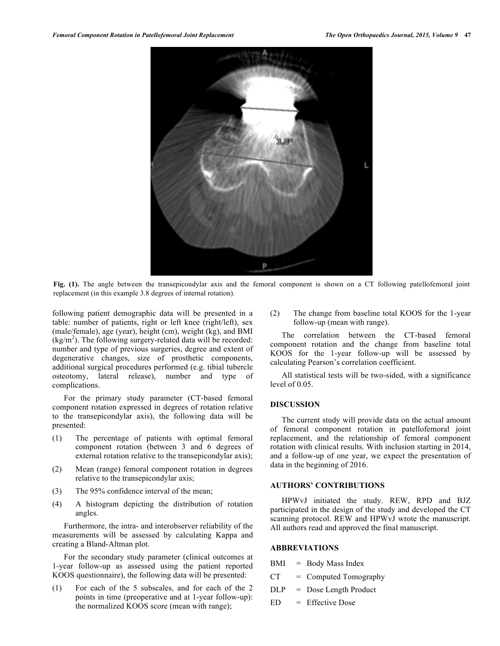

**Fig. (1).** The angle between the transepicondylar axis and the femoral component is shown on a CT following patellofemoral joint replacement (in this example 3.8 degrees of internal rotation).

following patient demographic data will be presented in a table: number of patients, right or left knee (right/left), sex (male/female), age (year), height (cm), weight (kg), and BMI  $(kg/m<sup>2</sup>)$ . The following surgery-related data will be recorded: number and type of previous surgeries, degree and extent of degenerative changes, size of prosthetic components, additional surgical procedures performed (e.g. tibial tubercle osteotomy, lateral release), number and type of complications.

For the primary study parameter (CT-based femoral component rotation expressed in degrees of rotation relative to the transepicondylar axis), the following data will be presented:

- (1) The percentage of patients with optimal femoral component rotation (between 3 and 6 degrees of external rotation relative to the transepicondylar axis);
- (2) Mean (range) femoral component rotation in degrees relative to the transepicondylar axis;
- (3) The 95% confidence interval of the mean;
- (4) A histogram depicting the distribution of rotation angles.

Furthermore, the intra- and interobserver reliability of the measurements will be assessed by calculating Kappa and creating a Bland-Altman plot.

For the secondary study parameter (clinical outcomes at 1-year follow-up as assessed using the patient reported KOOS questionnaire), the following data will be presented:

(1) For each of the 5 subscales, and for each of the 2 points in time (preoperative and at 1-year follow-up): the normalized KOOS score (mean with range);

(2) The change from baseline total KOOS for the 1-year follow-up (mean with range).

The correlation between the CT-based femoral component rotation and the change from baseline total KOOS for the 1-year follow-up will be assessed by calculating Pearson's correlation coefficient.

All statistical tests will be two-sided, with a significance level of 0.05.

# **DISCUSSION**

The current study will provide data on the actual amount of femoral component rotation in patellofemoral joint replacement, and the relationship of femoral component rotation with clinical results. With inclusion starting in 2014, and a follow-up of one year, we expect the presentation of data in the beginning of 2016.

# **AUTHORS' CONTRIBUTIONS**

HPWvJ initiated the study. REW, RPD and BJZ participated in the design of the study and developed the CT scanning protocol. REW and HPWvJ wrote the manuscript. All authors read and approved the final manuscript.

# **ABBREVIATIONS**

- $BMI = Body Mass Index$
- $CT = Computed Tomography$
- DLP = Dose Length Product
- ED = Effective Dose